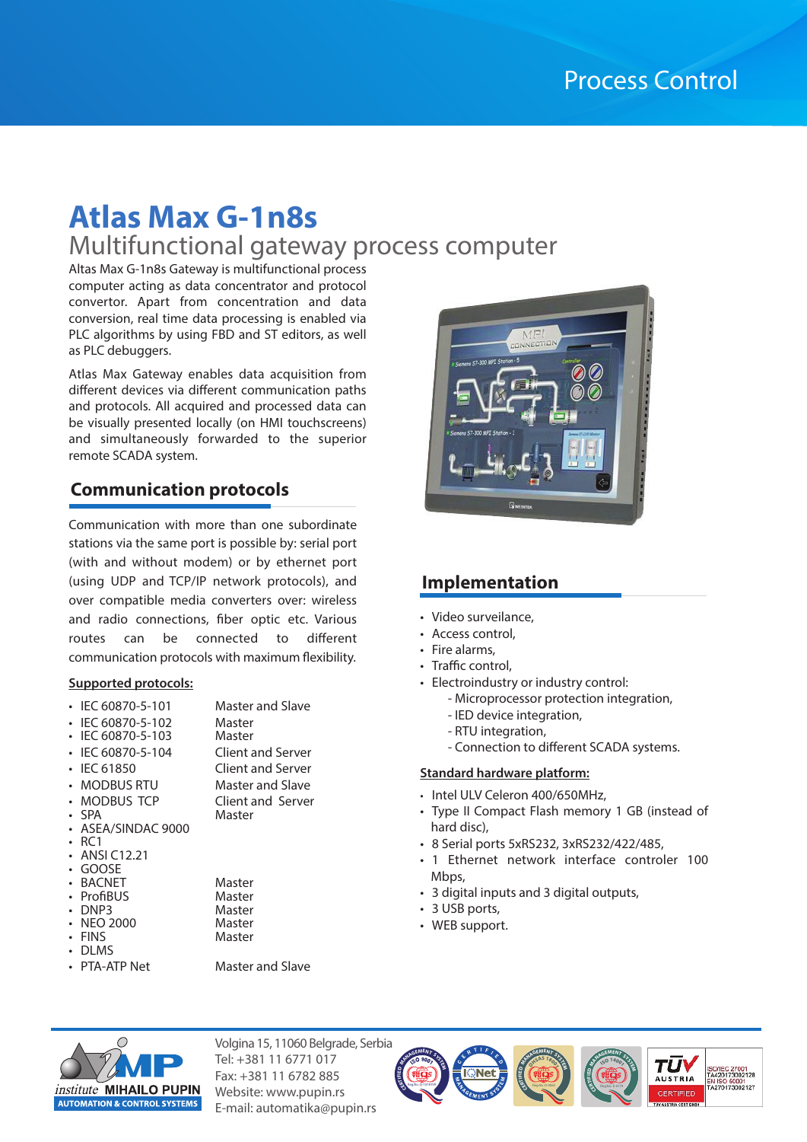# **Atlas Max G-1n8s**

# Multifunctional gateway process computer

Altas Max G-1n8s Gateway is multifunctional process computer acting as data concentrator and protocol convertor. Apart from concentration and data conversion, real time data processing is enabled via PLC algorithms by using FBD and ST editors, as well as PLC debuggers.

Atlas Max Gateway enables data acquisition from different devices via different communication paths and protocols. All acquired and processed data can be visually presented locally (on HMI touchscreens) and simultaneously forwarded to the superior remote SCADA system.

## **Communication protocols**

Communication with more than one subordinate stations via the same port is possible by: serial port (with and without modem) or by ethernet port (using UDP and TCP/IP network protocols), and over compatible media converters over: wireless and radio connections, fiber optic etc. Various routes can be connected to different communication protocols with maximum flexibility.

#### **Supported protocols:**

| IEC 60870-5-101<br>IEC 60870-5-102<br>IEC 60870-5-103<br>IEC 60870-5-104 | Master and Slave<br>Master<br>Master<br>Client and Server |
|--------------------------------------------------------------------------|-----------------------------------------------------------|
| <b>IEC 61850</b>                                                         | Client and Server                                         |
| <b>MODBUS RTU</b>                                                        | Master and Slave                                          |
| MODBUS TCP                                                               | Client and Server                                         |
| <b>SPA</b>                                                               | Master                                                    |
| ASEA/SINDAC 9000                                                         |                                                           |
| RC <sub>1</sub>                                                          |                                                           |
| ANSI C12.21                                                              |                                                           |
| GOOSF                                                                    |                                                           |
| <b>BACNET</b>                                                            | Master                                                    |
| ProfiBUS                                                                 | Master                                                    |
| DNP3                                                                     | Master                                                    |
| <b>NEO 2000</b>                                                          | Master                                                    |
| FINS                                                                     | Master                                                    |
| di MS                                                                    |                                                           |
| PTA-ATP Net                                                              | Master and Slave                                          |
|                                                                          |                                                           |



## **Implementation**

- Video surveilance,
- Access control,
- Fire alarms,
- Traffic control,
- Electroindustry or industry control:
	- Microprocessor protection integration,
	- IED device integration,
	- RTU integration,
	- Connection to different SCADA systems.

#### **Standard hardware platform:**

- Intel ULV Celeron 400/650MHz,
- Type II Compact Flash memory 1 GB (instead of hard disc),
- 8 Serial ports 5xRS232, 3xRS232/422/485,

Reg.No.:O-0063 **<sup>O</sup>HSA<sup>S</sup> <sup>1</sup>800<sup>1</sup> CERT<sup>I</sup>F<sup>I</sup><sup>E</sup><sup>D</sup> <sup>M</sup>ANAGEMEN<sup>T</sup> <sup>S</sup>YSTE<sup>M</sup>**

**<sup>I</sup>S<sup>O</sup> <sup>1</sup>400<sup>1</sup> CERT<sup>I</sup>F<sup>I</sup><sup>E</sup><sup>D</sup> <sup>M</sup>ANAGEMEN<sup>T</sup> <sup>S</sup>YSTE<sup>M</sup>**

TU

**AUSTRIA** 

ISO/IEC 27001<br>TA420173002128

N 150 50001<br>A270173002127

- 1 Ethernet network interface controler 100 Mbps,
- 3 digital inputs and 3 digital outputs,
- 3 USB ports,

Reg.No.:Q-1078-IVR **CE** 

• WEB support.



Volgina 15, 11060 Belgrade, Serbia Tel: +381 11 6771 017 Fax: +381 11 6782 885 Website: www.pupin.rs E-mail: automatika@pupin.rs